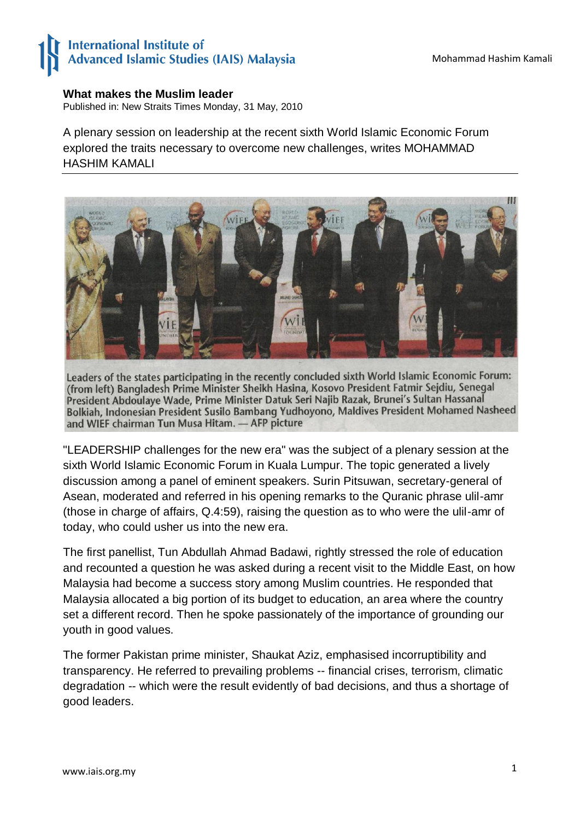## **International Institute of** Advanced Islamic Studies (IAIS) Malaysia

## **What makes the Muslim leader**

Published in: New Straits Times Monday, 31 May, 2010

A plenary session on leadership at the recent sixth World Islamic Economic Forum explored the traits necessary to overcome new challenges, writes MOHAMMAD HASHIM KAMALI



Leaders of the states participating in the recently concluded sixth World Islamic Economic Forum: (from left) Bangladesh Prime Minister Sheikh Hasina, Kosovo President Fatmir Sejdiu, Senegal President Abdoulaye Wade, Prime Minister Datuk Seri Najib Razak, Brunei's Sultan Hassanal Bolkiah, Indonesian President Susilo Bambang Yudhoyono, Maldives President Mohamed Nasheed and WIEF chairman Tun Musa Hitam. - AFP picture

"LEADERSHIP challenges for the new era" was the subject of a plenary session at the sixth World Islamic Economic Forum in Kuala Lumpur. The topic generated a lively discussion among a panel of eminent speakers. Surin Pitsuwan, secretary-general of Asean, moderated and referred in his opening remarks to the Quranic phrase ulil-amr (those in charge of affairs, Q.4:59), raising the question as to who were the ulil-amr of today, who could usher us into the new era.

The first panellist, Tun Abdullah Ahmad Badawi, rightly stressed the role of education and recounted a question he was asked during a recent visit to the Middle East, on how Malaysia had become a success story among Muslim countries. He responded that Malaysia allocated a big portion of its budget to education, an area where the country set a different record. Then he spoke passionately of the importance of grounding our youth in good values.

The former Pakistan prime minister, Shaukat Aziz, emphasised incorruptibility and transparency. He referred to prevailing problems -- financial crises, terrorism, climatic degradation -- which were the result evidently of bad decisions, and thus a shortage of good leaders.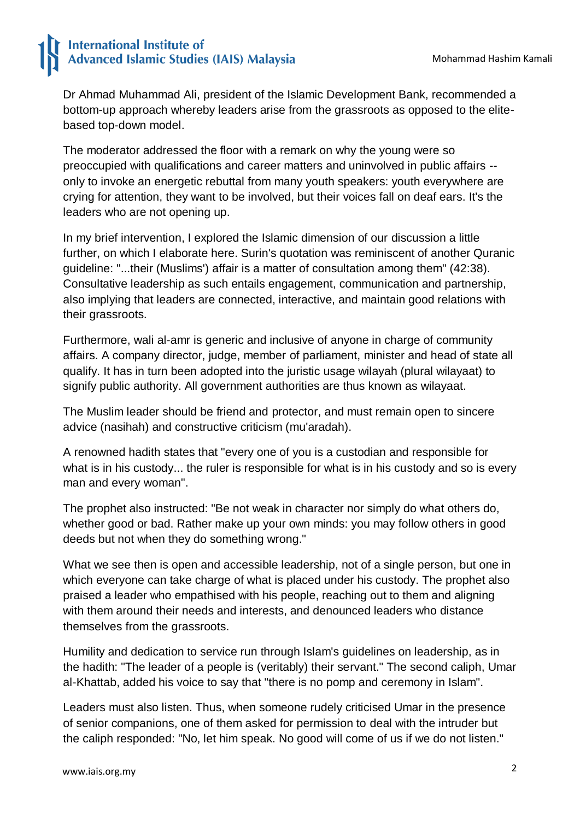## **International Institute of Advanced Islamic Studies (IAIS) Malaysia**

Dr Ahmad Muhammad Ali, president of the Islamic Development Bank, recommended a bottom-up approach whereby leaders arise from the grassroots as opposed to the elitebased top-down model.

The moderator addressed the floor with a remark on why the young were so preoccupied with qualifications and career matters and uninvolved in public affairs - only to invoke an energetic rebuttal from many youth speakers: youth everywhere are crying for attention, they want to be involved, but their voices fall on deaf ears. It's the leaders who are not opening up.

In my brief intervention, I explored the Islamic dimension of our discussion a little further, on which I elaborate here. Surin's quotation was reminiscent of another Quranic guideline: "...their (Muslims') affair is a matter of consultation among them" (42:38). Consultative leadership as such entails engagement, communication and partnership, also implying that leaders are connected, interactive, and maintain good relations with their grassroots.

Furthermore, wali al-amr is generic and inclusive of anyone in charge of community affairs. A company director, judge, member of parliament, minister and head of state all qualify. It has in turn been adopted into the juristic usage wilayah (plural wilayaat) to signify public authority. All government authorities are thus known as wilayaat.

The Muslim leader should be friend and protector, and must remain open to sincere advice (nasihah) and constructive criticism (mu'aradah).

A renowned hadith states that "every one of you is a custodian and responsible for what is in his custody... the ruler is responsible for what is in his custody and so is every man and every woman".

The prophet also instructed: "Be not weak in character nor simply do what others do, whether good or bad. Rather make up your own minds: you may follow others in good deeds but not when they do something wrong."

What we see then is open and accessible leadership, not of a single person, but one in which everyone can take charge of what is placed under his custody. The prophet also praised a leader who empathised with his people, reaching out to them and aligning with them around their needs and interests, and denounced leaders who distance themselves from the grassroots.

Humility and dedication to service run through Islam's guidelines on leadership, as in the hadith: "The leader of a people is (veritably) their servant." The second caliph, Umar al-Khattab, added his voice to say that "there is no pomp and ceremony in Islam".

Leaders must also listen. Thus, when someone rudely criticised Umar in the presence of senior companions, one of them asked for permission to deal with the intruder but the caliph responded: "No, let him speak. No good will come of us if we do not listen."